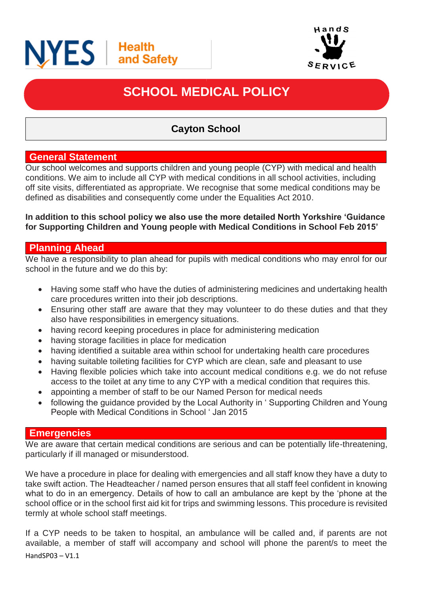



# **SCHOOL MEDICAL POLICY**

# **Cayton School**

#### **General Statement**

Our school welcomes and supports children and young people (CYP) with medical and health conditions. We aim to include all CYP with medical conditions in all school activities, including off site visits, differentiated as appropriate. We recognise that some medical conditions may be defined as disabilities and consequently come under the Equalities Act 2010.

#### **In addition to this school policy we also use the more detailed North Yorkshire 'Guidance for Supporting Children and Young people with Medical Conditions in School Feb 2015'**

## **Planning Ahead**

We have a responsibility to plan ahead for pupils with medical conditions who may enrol for our school in the future and we do this by:

- Having some staff who have the duties of administering medicines and undertaking health care procedures written into their job descriptions.
- Ensuring other staff are aware that they may volunteer to do these duties and that they also have responsibilities in emergency situations.
- having record keeping procedures in place for administering medication
- having storage facilities in place for medication
- having identified a suitable area within school for undertaking health care procedures
- having suitable toileting facilities for CYP which are clean, safe and pleasant to use
- Having flexible policies which take into account medical conditions e.g. we do not refuse access to the toilet at any time to any CYP with a medical condition that requires this.
- appointing a member of staff to be our Named Person for medical needs
- following the guidance provided by the Local Authority in ' Supporting Children and Young People with Medical Conditions in School ' Jan 2015

#### **Emergencies**

We are aware that certain medical conditions are serious and can be potentially life-threatening, particularly if ill managed or misunderstood.

We have a procedure in place for dealing with emergencies and all staff know they have a duty to take swift action. The Headteacher / named person ensures that all staff feel confident in knowing what to do in an emergency. Details of how to call an ambulance are kept by the 'phone at the school office or in the school first aid kit for trips and swimming lessons. This procedure is revisited termly at whole school staff meetings.

HandSP03 – V1.1 If a CYP needs to be taken to hospital, an ambulance will be called and, if parents are not available, a member of staff will accompany and school will phone the parent/s to meet the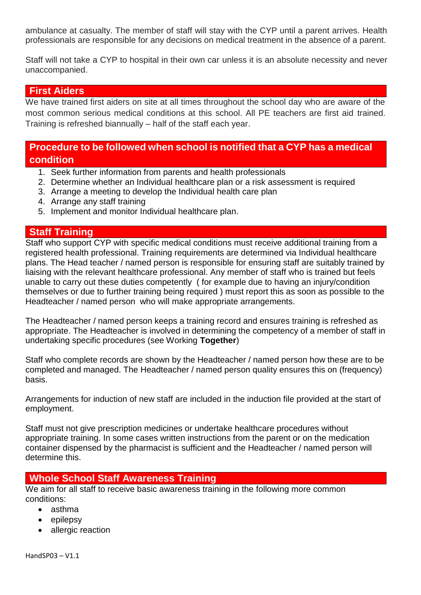ambulance at casualty. The member of staff will stay with the CYP until a parent arrives. Health professionals are responsible for any decisions on medical treatment in the absence of a parent.

Staff will not take a CYP to hospital in their own car unless it is an absolute necessity and never unaccompanied.

#### **First Aiders**

We have trained first aiders on site at all times throughout the school day who are aware of the most common serious medical conditions at this school. All PE teachers are first aid trained. Training is refreshed biannually – half of the staff each year.

## **Procedure to be followed when school is notified that a CYP has a medical condition**

- 1. Seek further information from parents and health professionals
- 2. Determine whether an Individual healthcare plan or a risk assessment is required
- 3. Arrange a meeting to develop the Individual health care plan
- 4. Arrange any staff training
- 5. Implement and monitor Individual healthcare plan.

#### **Staff Training**

Staff who support CYP with specific medical conditions must receive additional training from a registered health professional. Training requirements are determined via Individual healthcare plans. The Head teacher / named person is responsible for ensuring staff are suitably trained by liaising with the relevant healthcare professional. Any member of staff who is trained but feels unable to carry out these duties competently ( for example due to having an injury/condition themselves or due to further training being required ) must report this as soon as possible to the Headteacher / named person who will make appropriate arrangements.

The Headteacher / named person keeps a training record and ensures training is refreshed as appropriate. The Headteacher is involved in determining the competency of a member of staff in undertaking specific procedures (see Working **Together**)

Staff who complete records are shown by the Headteacher / named person how these are to be completed and managed. The Headteacher / named person quality ensures this on (frequency) basis.

Arrangements for induction of new staff are included in the induction file provided at the start of employment.

Staff must not give prescription medicines or undertake healthcare procedures without appropriate training. In some cases written instructions from the parent or on the medication container dispensed by the pharmacist is sufficient and the Headteacher / named person will determine this.

#### **Whole School Staff Awareness Training**

We aim for all staff to receive basic awareness training in the following more common conditions:

- asthma
- $\bullet$  epilepsy
- allergic reaction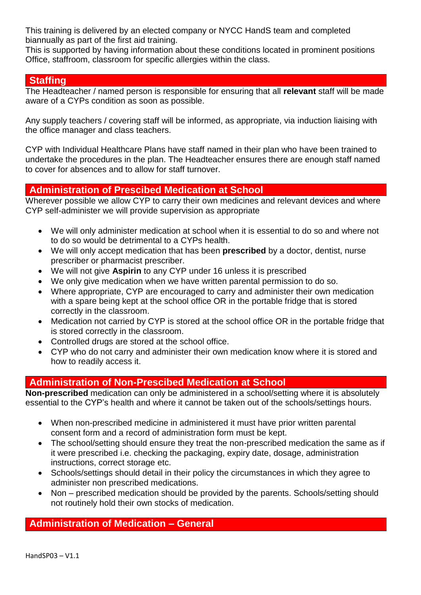This training is delivered by an elected company or NYCC HandS team and completed biannually as part of the first aid training.

This is supported by having information about these conditions located in prominent positions Office, staffroom, classroom for specific allergies within the class.

### **Staffing**

The Headteacher / named person is responsible for ensuring that all **relevant** staff will be made aware of a CYPs condition as soon as possible.

Any supply teachers / covering staff will be informed, as appropriate, via induction liaising with the office manager and class teachers.

CYP with Individual Healthcare Plans have staff named in their plan who have been trained to undertake the procedures in the plan. The Headteacher ensures there are enough staff named to cover for absences and to allow for staff turnover.

## **Administration of Prescibed Medication at School**

Wherever possible we allow CYP to carry their own medicines and relevant devices and where CYP self-administer we will provide supervision as appropriate

- We will only administer medication at school when it is essential to do so and where not to do so would be detrimental to a CYPs health.
- We will only accept medication that has been **prescribed** by a doctor, dentist, nurse prescriber or pharmacist prescriber.
- We will not give **Aspirin** to any CYP under 16 unless it is prescribed
- We only give medication when we have written parental permission to do so.
- Where appropriate, CYP are encouraged to carry and administer their own medication with a spare being kept at the school office OR in the portable fridge that is stored correctly in the classroom.
- Medication not carried by CYP is stored at the school office OR in the portable fridge that is stored correctly in the classroom.
- Controlled drugs are stored at the school office.
- CYP who do not carry and administer their own medication know where it is stored and how to readily access it.

## **Administration of Non-Prescibed Medication at School**

**Non-prescribed** medication can only be administered in a school/setting where it is absolutely essential to the CYP's health and where it cannot be taken out of the schools/settings hours.

- When non-prescribed medicine in administered it must have prior written parental consent form and a record of administration form must be kept.
- The school/setting should ensure they treat the non-prescribed medication the same as if it were prescribed i.e. checking the packaging, expiry date, dosage, administration instructions, correct storage etc.
- Schools/settings should detail in their policy the circumstances in which they agree to administer non prescribed medications.
- Non prescribed medication should be provided by the parents. Schools/setting should not routinely hold their own stocks of medication.

## **Administration of Medication – General**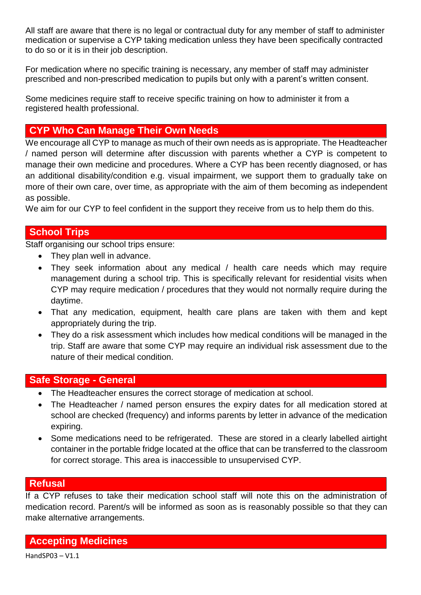All staff are aware that there is no legal or contractual duty for any member of staff to administer medication or supervise a CYP taking medication unless they have been specifically contracted to do so or it is in their job description.

For medication where no specific training is necessary, any member of staff may administer prescribed and non-prescribed medication to pupils but only with a parent's written consent.

Some medicines require staff to receive specific training on how to administer it from a registered health professional.

# **CYP Who Can Manage Their Own Needs**

We encourage all CYP to manage as much of their own needs as is appropriate. The Headteacher / named person will determine after discussion with parents whether a CYP is competent to manage their own medicine and procedures. Where a CYP has been recently diagnosed, or has an additional disability/condition e.g. visual impairment, we support them to gradually take on more of their own care, over time, as appropriate with the aim of them becoming as independent as possible.

We aim for our CYP to feel confident in the support they receive from us to help them do this.

## **School Trips**

Staff organising our school trips ensure:

- They plan well in advance.
- They seek information about any medical / health care needs which may require management during a school trip. This is specifically relevant for residential visits when CYP may require medication / procedures that they would not normally require during the daytime.
- That any medication, equipment, health care plans are taken with them and kept appropriately during the trip.
- They do a risk assessment which includes how medical conditions will be managed in the trip. Staff are aware that some CYP may require an individual risk assessment due to the nature of their medical condition.

## **Safe Storage - General**

- The Headteacher ensures the correct storage of medication at school.
- The Headteacher / named person ensures the expiry dates for all medication stored at school are checked (frequency) and informs parents by letter in advance of the medication expiring.
- Some medications need to be refrigerated. These are stored in a clearly labelled airtight container in the portable fridge located at the office that can be transferred to the classroom for correct storage. This area is inaccessible to unsupervised CYP.

## **Refusal**

If a CYP refuses to take their medication school staff will note this on the administration of medication record. Parent/s will be informed as soon as is reasonably possible so that they can make alternative arrangements.

**Accepting Medicines**

HandSP03 – V1.1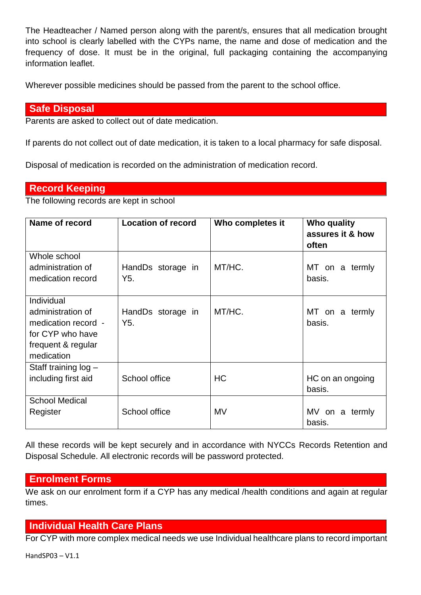The Headteacher / Named person along with the parent/s, ensures that all medication brought into school is clearly labelled with the CYPs name, the name and dose of medication and the frequency of dose. It must be in the original, full packaging containing the accompanying information leaflet.

Wherever possible medicines should be passed from the parent to the school office.

#### **Safe Disposal**

Parents are asked to collect out of date medication.

If parents do not collect out of date medication, it is taken to a local pharmacy for safe disposal.

Disposal of medication is recorded on the administration of medication record.

#### **Record Keeping**

The following records are kept in school

| Name of record                                                                                                 | <b>Location of record</b>             | Who completes it | Who quality<br>assures it & how<br>often |
|----------------------------------------------------------------------------------------------------------------|---------------------------------------|------------------|------------------------------------------|
| Whole school<br>administration of<br>medication record                                                         | HandDs storage in<br>Y5.              | MT/HC.           | MT on a termly<br>basis.                 |
| Individual<br>administration of<br>medication record -<br>for CYP who have<br>frequent & regular<br>medication | HandDs storage in<br>Y <sub>5</sub> . | MT/HC.           | MT on a termly<br>basis.                 |
| Staff training $log -$<br>including first aid                                                                  | School office                         | <b>HC</b>        | HC on an ongoing<br>basis.               |
| <b>School Medical</b><br>Register                                                                              | School office                         | MV               | MV on a termly<br>basis.                 |

All these records will be kept securely and in accordance with NYCCs Records Retention and Disposal Schedule. All electronic records will be password protected.

## **Enrolment Forms**

We ask on our enrolment form if a CYP has any medical /health conditions and again at regular times.

## **Individual Health Care Plans**

For CYP with more complex medical needs we use Individual healthcare plans to record important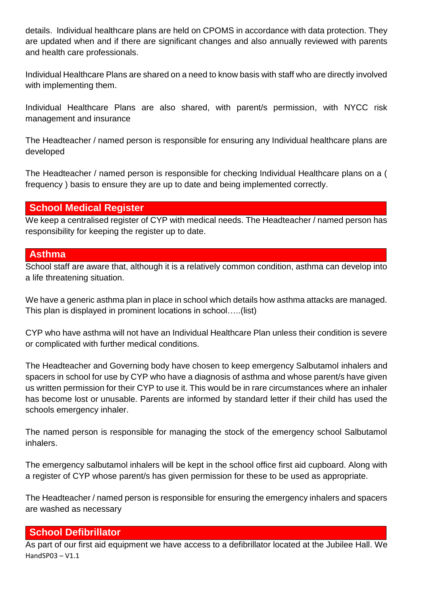details. Individual healthcare plans are held on CPOMS in accordance with data protection. They are updated when and if there are significant changes and also annually reviewed with parents and health care professionals.

Individual Healthcare Plans are shared on a need to know basis with staff who are directly involved with implementing them.

Individual Healthcare Plans are also shared, with parent/s permission, with NYCC risk management and insurance

The Headteacher / named person is responsible for ensuring any Individual healthcare plans are developed

The Headteacher / named person is responsible for checking Individual Healthcare plans on a ( frequency ) basis to ensure they are up to date and being implemented correctly.

## **School Medical Register**

We keep a centralised register of CYP with medical needs. The Headteacher / named person has responsibility for keeping the register up to date.

#### **Asthma**

School staff are aware that, although it is a relatively common condition, asthma can develop into a life threatening situation.

We have a generic asthma plan in place in school which details how asthma attacks are managed. This plan is displayed in prominent locations in school…..(list)

CYP who have asthma will not have an Individual Healthcare Plan unless their condition is severe or complicated with further medical conditions.

The Headteacher and Governing body have chosen to keep emergency Salbutamol inhalers and spacers in school for use by CYP who have a diagnosis of asthma and whose parent/s have given us written permission for their CYP to use it. This would be in rare circumstances where an inhaler has become lost or unusable. Parents are informed by standard letter if their child has used the schools emergency inhaler.

The named person is responsible for managing the stock of the emergency school Salbutamol inhalers.

The emergency salbutamol inhalers will be kept in the school office first aid cupboard. Along with a register of CYP whose parent/s has given permission for these to be used as appropriate.

The Headteacher / named person is responsible for ensuring the emergency inhalers and spacers are washed as necessary

#### **School Defibrillator**

HandSP03 – V1.1 As part of our first aid equipment we have access to a defibrillator located at the Jubilee Hall. We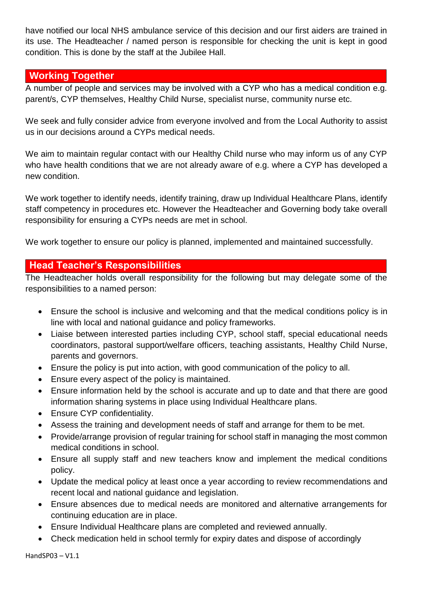have notified our local NHS ambulance service of this decision and our first aiders are trained in its use. The Headteacher / named person is responsible for checking the unit is kept in good condition. This is done by the staff at the Jubilee Hall.

## **Working Together**

A number of people and services may be involved with a CYP who has a medical condition e.g. parent/s, CYP themselves, Healthy Child Nurse, specialist nurse, community nurse etc.

We seek and fully consider advice from everyone involved and from the Local Authority to assist us in our decisions around a CYPs medical needs.

We aim to maintain regular contact with our Healthy Child nurse who may inform us of any CYP who have health conditions that we are not already aware of e.g. where a CYP has developed a new condition.

We work together to identify needs, identify training, draw up Individual Healthcare Plans, identify staff competency in procedures etc. However the Headteacher and Governing body take overall responsibility for ensuring a CYPs needs are met in school.

We work together to ensure our policy is planned, implemented and maintained successfully.

## **Head Teacher's Responsibilities**

The Headteacher holds overall responsibility for the following but may delegate some of the responsibilities to a named person:

- Ensure the school is inclusive and welcoming and that the medical conditions policy is in line with local and national guidance and policy frameworks.
- Liaise between interested parties including CYP, school staff, special educational needs coordinators, pastoral support/welfare officers, teaching assistants, Healthy Child Nurse, parents and governors.
- Ensure the policy is put into action, with good communication of the policy to all.
- Ensure every aspect of the policy is maintained.
- Ensure information held by the school is accurate and up to date and that there are good information sharing systems in place using Individual Healthcare plans.
- Ensure CYP confidentiality.
- Assess the training and development needs of staff and arrange for them to be met.
- Provide/arrange provision of regular training for school staff in managing the most common medical conditions in school.
- Ensure all supply staff and new teachers know and implement the medical conditions policy.
- Update the medical policy at least once a year according to review recommendations and recent local and national guidance and legislation.
- Ensure absences due to medical needs are monitored and alternative arrangements for continuing education are in place.
- Ensure Individual Healthcare plans are completed and reviewed annually.
- Check medication held in school termly for expiry dates and dispose of accordingly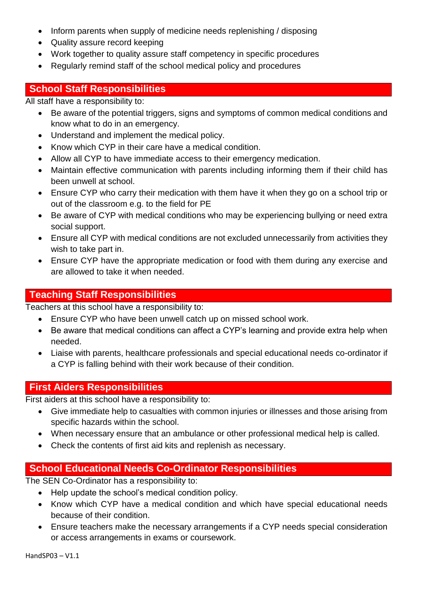- Inform parents when supply of medicine needs replenishing / disposing
- Quality assure record keeping
- Work together to quality assure staff competency in specific procedures
- Regularly remind staff of the school medical policy and procedures

## **School Staff Responsibilities**

All staff have a responsibility to:

- Be aware of the potential triggers, signs and symptoms of common medical conditions and know what to do in an emergency.
- Understand and implement the medical policy.
- Know which CYP in their care have a medical condition.
- Allow all CYP to have immediate access to their emergency medication.
- Maintain effective communication with parents including informing them if their child has been unwell at school.
- Ensure CYP who carry their medication with them have it when they go on a school trip or out of the classroom e.g. to the field for PE
- Be aware of CYP with medical conditions who may be experiencing bullying or need extra social support.
- Ensure all CYP with medical conditions are not excluded unnecessarily from activities they wish to take part in.
- Ensure CYP have the appropriate medication or food with them during any exercise and are allowed to take it when needed.

## **Teaching Staff Responsibilities**

Teachers at this school have a responsibility to:

- Ensure CYP who have been unwell catch up on missed school work.
- Be aware that medical conditions can affect a CYP's learning and provide extra help when needed.
- Liaise with parents, healthcare professionals and special educational needs co-ordinator if a CYP is falling behind with their work because of their condition.

## **First Aiders Responsibilities**

First aiders at this school have a responsibility to:

- Give immediate help to casualties with common injuries or illnesses and those arising from specific hazards within the school.
- When necessary ensure that an ambulance or other professional medical help is called.
- Check the contents of first aid kits and replenish as necessary.

# **School Educational Needs Co-Ordinator Responsibilities**

The SEN Co-Ordinator has a responsibility to:

- Help update the school's medical condition policy.
- Know which CYP have a medical condition and which have special educational needs because of their condition.
- Ensure teachers make the necessary arrangements if a CYP needs special consideration or access arrangements in exams or coursework.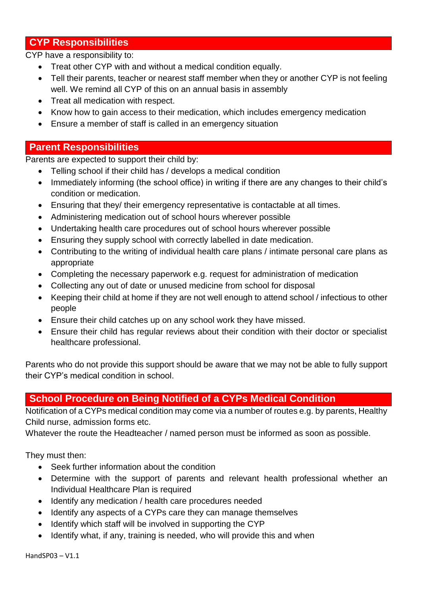## **CYP Responsibilities**

CYP have a responsibility to:

- Treat other CYP with and without a medical condition equally.
- Tell their parents, teacher or nearest staff member when they or another CYP is not feeling well. We remind all CYP of this on an annual basis in assembly
- Treat all medication with respect.
- Know how to gain access to their medication, which includes emergency medication
- Ensure a member of staff is called in an emergency situation

## **Parent Responsibilities**

Parents are expected to support their child by:

- Telling school if their child has / develops a medical condition
- Immediately informing (the school office) in writing if there are any changes to their child's condition or medication.
- Ensuring that they/ their emergency representative is contactable at all times.
- Administering medication out of school hours wherever possible
- Undertaking health care procedures out of school hours wherever possible
- Ensuring they supply school with correctly labelled in date medication.
- Contributing to the writing of individual health care plans / intimate personal care plans as appropriate
- Completing the necessary paperwork e.g. request for administration of medication
- Collecting any out of date or unused medicine from school for disposal
- Keeping their child at home if they are not well enough to attend school / infectious to other people
- Ensure their child catches up on any school work they have missed.
- Ensure their child has regular reviews about their condition with their doctor or specialist healthcare professional.

Parents who do not provide this support should be aware that we may not be able to fully support their CYP's medical condition in school.

# **School Procedure on Being Notified of a CYPs Medical Condition**

Notification of a CYPs medical condition may come via a number of routes e.g. by parents, Healthy Child nurse, admission forms etc.

Whatever the route the Headteacher / named person must be informed as soon as possible.

They must then:

- Seek further information about the condition
- Determine with the support of parents and relevant health professional whether an Individual Healthcare Plan is required
- Identify any medication / health care procedures needed
- Identify any aspects of a CYPs care they can manage themselves
- Identify which staff will be involved in supporting the CYP
- Identify what, if any, training is needed, who will provide this and when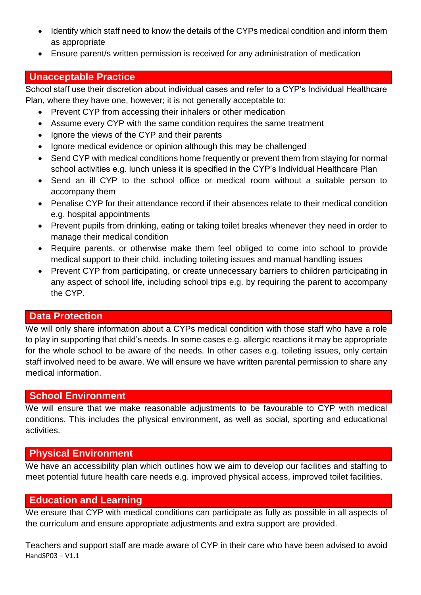- Identify which staff need to know the details of the CYPs medical condition and inform them as appropriate
- Ensure parent/s written permission is received for any administration of medication

## **Unacceptable Practice**

School staff use their discretion about individual cases and refer to a CYP's Individual Healthcare Plan, where they have one, however; it is not generally acceptable to:

- Prevent CYP from accessing their inhalers or other medication
- Assume every CYP with the same condition requires the same treatment
- Ignore the views of the CYP and their parents
- Ignore medical evidence or opinion although this may be challenged
- Send CYP with medical conditions home frequently or prevent them from staying for normal school activities e.g. lunch unless it is specified in the CYP's Individual Healthcare Plan
- Send an ill CYP to the school office or medical room without a suitable person to accompany them
- Penalise CYP for their attendance record if their absences relate to their medical condition e.g. hospital appointments
- Prevent pupils from drinking, eating or taking toilet breaks whenever they need in order to manage their medical condition
- Require parents, or otherwise make them feel obliged to come into school to provide medical support to their child, including toileting issues and manual handling issues
- Prevent CYP from participating, or create unnecessary barriers to children participating in any aspect of school life, including school trips e.g. by requiring the parent to accompany the CYP.

## **Data Protection**

We will only share information about a CYPs medical condition with those staff who have a role to play in supporting that child's needs. In some cases e.g. allergic reactions it may be appropriate for the whole school to be aware of the needs. In other cases e.g. toileting issues, only certain staff involved need to be aware. We will ensure we have written parental permission to share any medical information.

## **School Environment**

We will ensure that we make reasonable adjustments to be favourable to CYP with medical conditions. This includes the physical environment, as well as social, sporting and educational activities.

## **Physical Environment**

We have an accessibility plan which outlines how we aim to develop our facilities and staffing to meet potential future health care needs e.g. improved physical access, improved toilet facilities.

## **Education and Learning**

We ensure that CYP with medical conditions can participate as fully as possible in all aspects of the curriculum and ensure appropriate adjustments and extra support are provided.

HandSP03 – V1.1 Teachers and support staff are made aware of CYP in their care who have been advised to avoid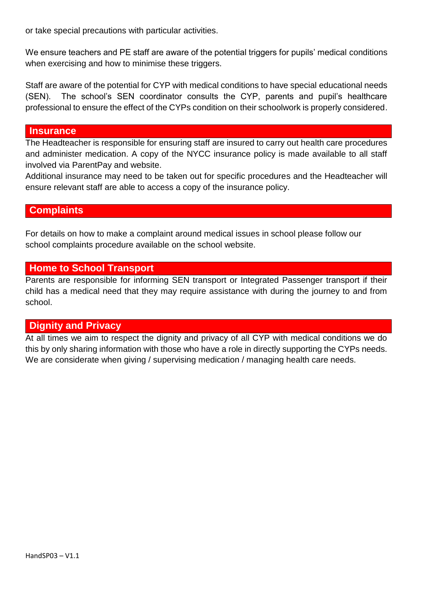or take special precautions with particular activities.

We ensure teachers and PE staff are aware of the potential triggers for pupils' medical conditions when exercising and how to minimise these triggers.

Staff are aware of the potential for CYP with medical conditions to have special educational needs (SEN). The school's SEN coordinator consults the CYP, parents and pupil's healthcare professional to ensure the effect of the CYPs condition on their schoolwork is properly considered.

#### **Insurance**

The Headteacher is responsible for ensuring staff are insured to carry out health care procedures and administer medication. A copy of the NYCC insurance policy is made available to all staff involved via ParentPay and website.

Additional insurance may need to be taken out for specific procedures and the Headteacher will ensure relevant staff are able to access a copy of the insurance policy.

#### **Complaints**

For details on how to make a complaint around medical issues in school please follow our school complaints procedure available on the school website.

#### **Home to School Transport**

Parents are responsible for informing SEN transport or Integrated Passenger transport if their child has a medical need that they may require assistance with during the journey to and from school.

#### **Dignity and Privacy**

At all times we aim to respect the dignity and privacy of all CYP with medical conditions we do this by only sharing information with those who have a role in directly supporting the CYPs needs. We are considerate when giving / supervising medication / managing health care needs.